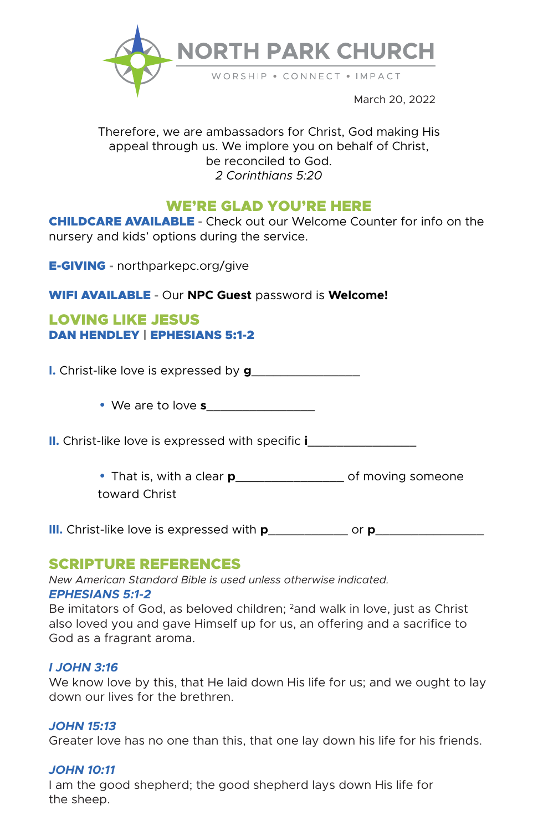

March 20, 2022

# Therefore, we are ambassadors for Christ, God making His appeal through us. We implore you on behalf of Christ, be reconciled to God. *2 Corinthians 5:20*

# WE'RE GLAD YOU'RE HERE

CHILDCARE AVAILABLE **-** Check out our Welcome Counter for info on the nursery and kids' options during the service.

E-GIVING **-** northparkepc.org/give

WIFI AVAILABLE **-** Our **NPC Guest** password is **Welcome!**

# LOVING LIKE JESUS DAN HENDLEY | EPHESIANS 5:1-2

**I.** Christ-like love is expressed by **g**\_\_\_\_\_\_\_\_\_\_\_\_\_\_\_

**•** We are to love **s**\_\_\_\_\_\_\_\_\_\_\_\_\_\_\_

**II.** Christ-like love is expressed with specific **i**\_\_\_\_\_\_\_\_\_\_\_\_\_\_\_

**•** That is, with a clear **p**\_\_\_\_\_\_\_\_\_\_\_\_\_\_\_ of moving someone toward Christ

**III.** Christ-like love is expressed with **p**\_\_\_\_\_\_\_\_\_\_\_ or **p**\_\_\_\_\_\_\_\_\_\_\_\_\_\_\_

# SCRIPTURE REFERENCES

*New American Standard Bible is used unless otherwise indicated. EPHESIANS 5:1-2*

Be imitators of God, as beloved children; <sup>2</sup>and walk in love, just as Christ also loved you and gave Himself up for us, an offering and a sacrifice to God as a fragrant aroma.

## *I JOHN 3:16*

We know love by this, that He laid down His life for us; and we ought to lay down our lives for the brethren.

## *JOHN 15:13*

Greater love has no one than this, that one lay down his life for his friends.

# *JOHN 10:11*

I am the good shepherd; the good shepherd lays down His life for the sheep.